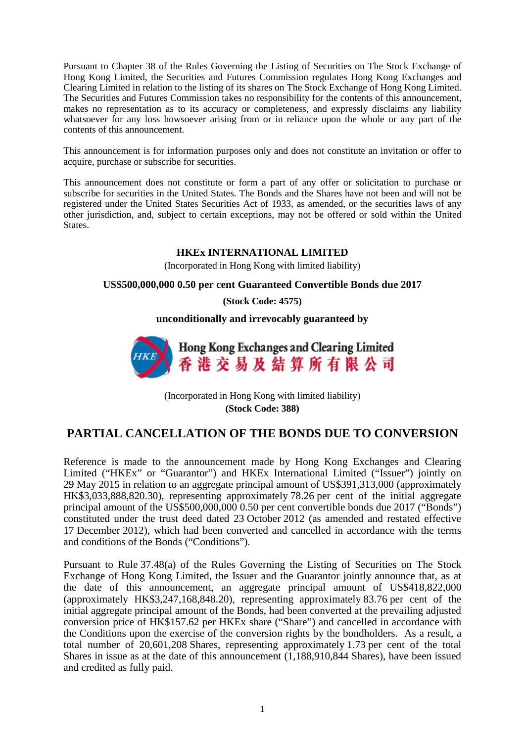Pursuant to Chapter 38 of the Rules Governing the Listing of Securities on The Stock Exchange of Hong Kong Limited, the Securities and Futures Commission regulates Hong Kong Exchanges and Clearing Limited in relation to the listing of its shares on The Stock Exchange of Hong Kong Limited. The Securities and Futures Commission takes no responsibility for the contents of this announcement, makes no representation as to its accuracy or completeness, and expressly disclaims any liability whatsoever for any loss howsoever arising from or in reliance upon the whole or any part of the contents of this announcement.

This announcement is for information purposes only and does not constitute an invitation or offer to acquire, purchase or subscribe for securities.

This announcement does not constitute or form a part of any offer or solicitation to purchase or subscribe for securities in the United States. The Bonds and the Shares have not been and will not be registered under the United States Securities Act of 1933, as amended, or the securities laws of any other jurisdiction, and, subject to certain exceptions, may not be offered or sold within the United States.

## **HKEx INTERNATIONAL LIMITED**

(Incorporated in Hong Kong with limited liability)

## **US\$500,000,000 0.50 per cent Guaranteed Convertible Bonds due 2017**

**(Stock Code: 4575)**

**unconditionally and irrevocably guaranteed by**



(Incorporated in Hong Kong with limited liability) **(Stock Code: 388)**

## **PARTIAL CANCELLATION OF THE BONDS DUE TO CONVERSION**

Reference is made to the announcement made by Hong Kong Exchanges and Clearing Limited ("HKEx" or "Guarantor") and HKEx International Limited ("Issuer") jointly on 29 May 2015 in relation to an aggregate principal amount of US\$391,313,000 (approximately HK\$3,033,888,820.30), representing approximately 78.26 per cent of the initial aggregate principal amount of the US\$500,000,000 0.50 per cent convertible bonds due 2017 ("Bonds") constituted under the trust deed dated 23 October 2012 (as amended and restated effective 17 December 2012), which had been converted and cancelled in accordance with the terms and conditions of the Bonds ("Conditions").

Pursuant to Rule 37.48(a) of the Rules Governing the Listing of Securities on The Stock Exchange of Hong Kong Limited, the Issuer and the Guarantor jointly announce that, as at the date of this announcement, an aggregate principal amount of US\$418,822,000 (approximately HK\$3,247,168,848.20), representing approximately 83.76 per cent of the initial aggregate principal amount of the Bonds, had been converted at the prevailing adjusted conversion price of HK\$157.62 per HKEx share ("Share") and cancelled in accordance with the Conditions upon the exercise of the conversion rights by the bondholders. As a result, a total number of 20,601,208 Shares, representing approximately 1.73 per cent of the total Shares in issue as at the date of this announcement (1,188,910,844 Shares), have been issued and credited as fully paid.